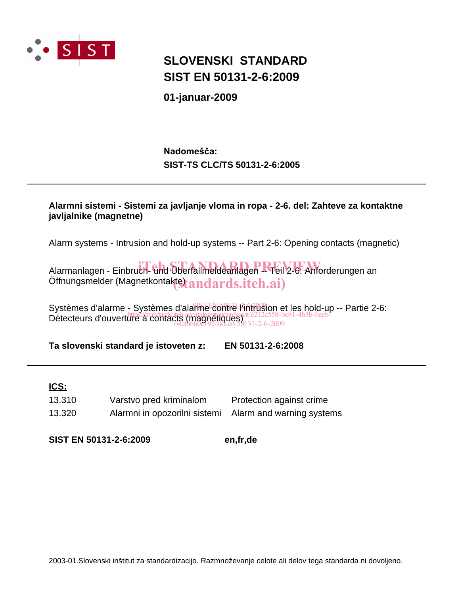

### **SIST EN 50131-2-6:2009 SLOVENSKI STANDARD**

**01-januar-2009**

**SIST-TS CLC/TS 50131-2-6:2005** Nadomešča:

### **Alarmni sistemi - Sistemi za javljanje vloma in ropa - 2-6. del: Zahteve za kontaktne javljalnike (magnetne)**

Alarm systems - Intrusion and hold-up systems -- Part 2-6: Opening contacts (magnetic)

Alarmanlagen - Einbruch- und Überfallmeldeanlagen PRTeil 2-6: Anforderungen an Öffnungsmelder (Magnetkontakte) andards.iteh.ai)

Systèmes d'alarme - Systèmes d'alarme contre l'intrusion et les hold-up -- Partie 2-6: Détecteurs d'ouverture à contacts (magnétiques) https://standards.iteh.ai/catalog/standards/sist/e212c558-bc81-4b3b-becb-64efb660a192/sist-en-50131-2-6-2009

**Ta slovenski standard je istoveten z: EN 50131-2-6:2008**

### **ICS:**

| 13.310 | Varstvo pred kriminalom                                 | Protection against crime |
|--------|---------------------------------------------------------|--------------------------|
| 13.320 | Alarmni in opozorilni sistemi Alarm and warning systems |                          |

**SIST EN 50131-2-6:2009 en,fr,de**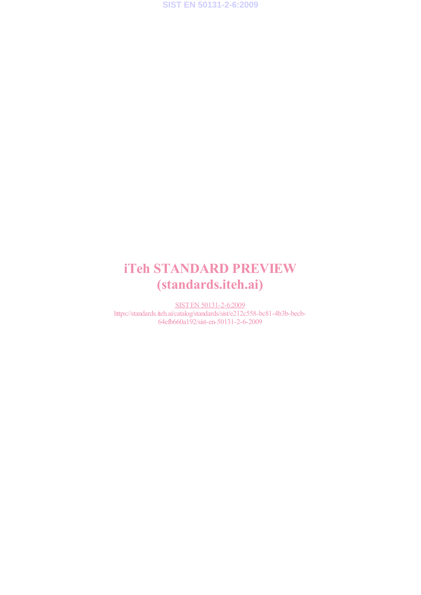# iTeh STANDARD PREVIEW (standards.iteh.ai)

SIST EN 50131-2-6:2009 https://standards.iteh.ai/catalog/standards/sist/e212c558-bc81-4b3b-becb-64efb660a192/sist-en-50131-2-6-2009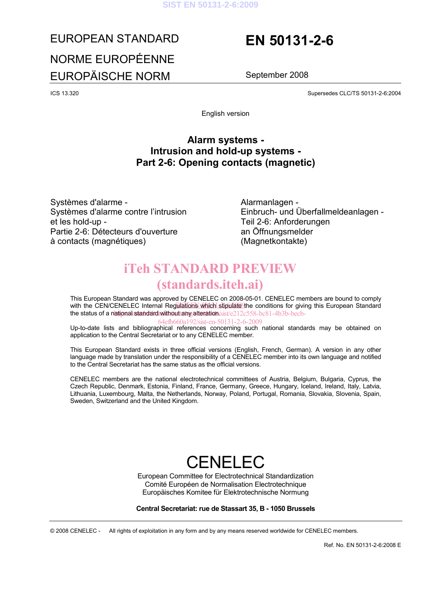#### **SIST EN 50131-2-6:2009**

# EUROPEAN STANDARD **EN 50131-2-6** NORME EUROPÉENNE EUROPÄISCHE NORM September 2008

ICS 13.320 Supersedes CLC/TS 50131-2-6:2004

English version

### **Alarm systems - Intrusion and hold-up systems - Part 2-6: Opening contacts (magnetic)**

Systèmes d'alarme - Systèmes d'alarme contre l'intrusion et les hold-up - Partie 2-6: Détecteurs d'ouverture à contacts (magnétiques)

Alarmanlagen - Einbruch- und Überfallmeldeanlagen - Teil 2-6: Anforderungen an Öffnungsmelder (Magnetkontakte)

# iTeh STANDARD PREVIEW (standards.iteh.ai)

This European Standard was approved by CENELEC on 2008-05-01. CENELEC members are bound to comply with the CEN/CENELEC Internal Regulations which stipulate the conditions for giving this European Standard the status of a national standard without any alteration/sist/e212c558-bc81-4b3b-becb-

64efb660a192/sist-en-50131-2-6-2009

Up-to-date lists and bibliographical references concerning such national standards may be obtained on application to the Central Secretariat or to any CENELEC member.

This European Standard exists in three official versions (English, French, German). A version in any other language made by translation under the responsibility of a CENELEC member into its own language and notified to the Central Secretariat has the same status as the official versions.

CENELEC members are the national electrotechnical committees of Austria, Belgium, Bulgaria, Cyprus, the Czech Republic, Denmark, Estonia, Finland, France, Germany, Greece, Hungary, Iceland, Ireland, Italy, Latvia, Lithuania, Luxembourg, Malta, the Netherlands, Norway, Poland, Portugal, Romania, Slovakia, Slovenia, Spain, Sweden, Switzerland and the United Kingdom.

# **CENELEC**

European Committee for Electrotechnical Standardization Comité Européen de Normalisation Electrotechnique Europäisches Komitee für Elektrotechnische Normung

**Central Secretariat: rue de Stassart 35, B - 1050 Brussels** 

© 2008 CENELEC - All rights of exploitation in any form and by any means reserved worldwide for CENELEC members.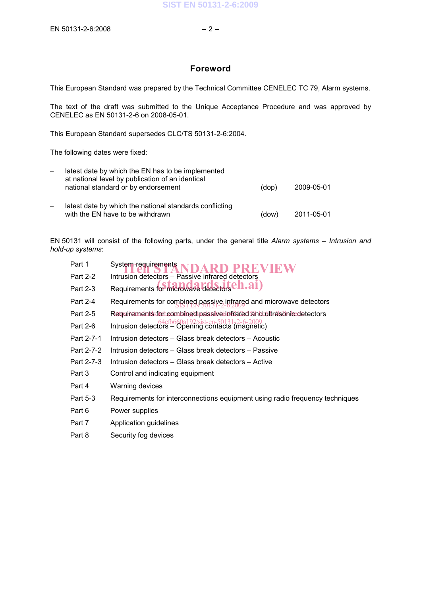#### **Foreword**

This European Standard was prepared by the Technical Committee CENELEC TC 79, Alarm systems.

The text of the draft was submitted to the Unique Acceptance Procedure and was approved by CENELEC as EN 50131-2-6 on 2008-05-01.

This European Standard supersedes CLC/TS 50131-2-6:2004.

The following dates were fixed:

| latest date by which the EN has to be implemented<br>at national level by publication of an identical<br>national standard or by endorsement | (dop) | 2009-05-01 |
|----------------------------------------------------------------------------------------------------------------------------------------------|-------|------------|
| latest date by which the national standards conflicting<br>with the EN have to be withdrawn                                                  | (dow) | 2011-05-01 |

EN 50131 will consist of the following parts, under the general title *Alarm systems – Intrusion and hold-up systems*:

Part 1 System requirements<br>
Part 2.2 Intrusion detectors<br>
Receive infrared detectors Part 2-2 Intrusion detectors – Passive infrared detectors Part 2-2 Requirements for microwave detectors **Requirements** for microwave detectors **Ch.ai**) Part 2-4 Requirements for combined passive infrared and microwave detectors Part Part 2-5 Requirements for combined passive infrared and ultrasonic detectors Part 2-6 Intrusion detectors – Opening contacts (magnetic) Part 2-7-1 Intrusion detectors – Glass break detectors – Acoustic Part 2-7-2 Intrusion detectors – Glass break detectors – Passive Part 2-7-3 Intrusion detectors – Glass break detectors – Active Part 3 Control and indicating equipment Part 4 Warning devices Part 5-3 Requirements for interconnections equipment using radio frequency techniques Part 6 Power supplies Part 7 Application guidelines Part 8 Security fog devices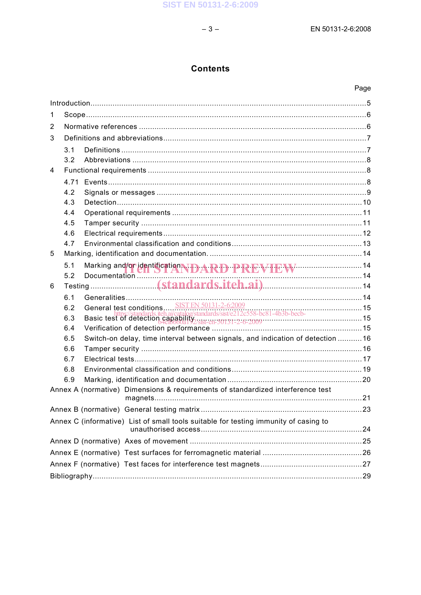$-3-$ 

### **Contents**

| ۰,<br>۰,<br>×<br>۰. |
|---------------------|
|---------------------|

|   | 1    |                                                                                      |    |
|---|------|--------------------------------------------------------------------------------------|----|
| 2 |      |                                                                                      |    |
|   |      |                                                                                      |    |
| 3 |      |                                                                                      |    |
|   | 3.1  |                                                                                      |    |
|   | 3.2  |                                                                                      |    |
| 4 |      |                                                                                      |    |
|   | 4.71 |                                                                                      |    |
|   | 4.2  |                                                                                      |    |
|   | 4.3  |                                                                                      |    |
|   | 4.4  |                                                                                      |    |
|   | 4.5  |                                                                                      |    |
|   | 4.6  |                                                                                      |    |
|   | 4.7  |                                                                                      |    |
| 5 |      |                                                                                      |    |
|   | 5.1  | Marking and/or identification TDARD PREVIEW [CONTENT]                                |    |
|   | 5.2  | Documentation                                                                        |    |
| 6 |      |                                                                                      |    |
|   | 6.1  |                                                                                      |    |
|   | 6.2  |                                                                                      |    |
|   | 6.3  |                                                                                      |    |
|   | 6.4  |                                                                                      |    |
|   | 6.5  | Switch-on delay, time interval between signals, and indication of detection  16      |    |
|   | 6.6  |                                                                                      |    |
|   | 6.7  |                                                                                      |    |
|   | 6.8  |                                                                                      |    |
|   | 6.9  |                                                                                      |    |
|   |      | Annex A (normative) Dimensions & requirements of standardized interference test      |    |
|   |      |                                                                                      | 23 |
|   |      | Annex C (informative) List of small tools suitable for testing immunity of casing to |    |
|   |      |                                                                                      |    |
|   |      |                                                                                      |    |
|   |      |                                                                                      |    |
|   |      |                                                                                      |    |
|   |      |                                                                                      |    |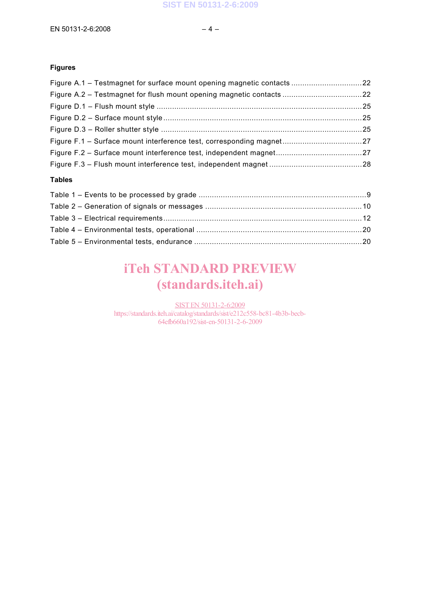### **Figures**

| Figure A.1 – Testmagnet for surface mount opening magnetic contacts 22 |  |
|------------------------------------------------------------------------|--|
|                                                                        |  |
|                                                                        |  |
|                                                                        |  |
|                                                                        |  |
|                                                                        |  |
|                                                                        |  |
|                                                                        |  |
|                                                                        |  |

#### **Tables**

# iTeh STANDARD PREVIEW (standards.iteh.ai)

SIST EN 50131-2-6:2009 https://standards.iteh.ai/catalog/standards/sist/e212c558-bc81-4b3b-becb-64efb660a192/sist-en-50131-2-6-2009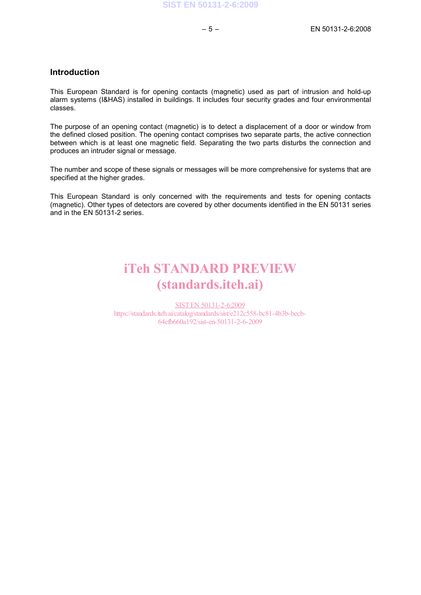#### **Introduction**

This European Standard is for opening contacts (magnetic) used as part of intrusion and hold-up alarm systems (I&HAS) installed in buildings. It includes four security grades and four environmental classes.

The purpose of an opening contact (magnetic) is to detect a displacement of a door or window from the defined closed position. The opening contact comprises two separate parts, the active connection between which is at least one magnetic field. Separating the two parts disturbs the connection and produces an intruder signal or message.

The number and scope of these signals or messages will be more comprehensive for systems that are specified at the higher grades.

This European Standard is only concerned with the requirements and tests for opening contacts (magnetic). Other types of detectors are covered by other documents identified in the EN 50131 series and in the EN 50131-2 series.

## iTeh STANDARD PREVIEW (standards.iteh.ai)

SIST EN 50131-2-6:2009 https://standards.iteh.ai/catalog/standards/sist/e212c558-bc81-4b3b-becb-64efb660a192/sist-en-50131-2-6-2009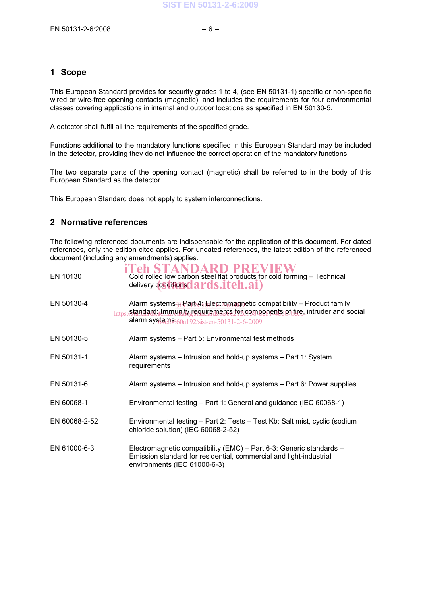#### **1 Scope**

This European Standard provides for security grades 1 to 4, (see EN 50131-1) specific or non-specific wired or wire-free opening contacts (magnetic), and includes the requirements for four environmental classes covering applications in internal and outdoor locations as specified in EN 50130-5.

A detector shall fulfil all the requirements of the specified grade.

Functions additional to the mandatory functions specified in this European Standard may be included in the detector, providing they do not influence the correct operation of the mandatory functions.

The two separate parts of the opening contact (magnetic) shall be referred to in the body of this European Standard as the detector.

This European Standard does not apply to system interconnections.

#### **2 Normative references**

The following referenced documents are indispensable for the application of this document. For dated references, only the edition cited applies. For undated references, the latest edition of the referenced document (including any amendments) applies. i Indian Standard Previewski

| EN 10130      | Cold rolled low carbon steel flat products for cold forming - Technical<br>delivery conditionsd ards.itch.ai                                                                                                  |
|---------------|---------------------------------------------------------------------------------------------------------------------------------------------------------------------------------------------------------------|
| EN 50130-4    | Alarm systems Rept 45 Electromagnetic compatibility – Product family<br>standard: Immunity requirements for components of fire, intruder and social<br>https:<br>alarm systems: 60a192/sist-en-50131-2-6-2009 |
| EN 50130-5    | Alarm systems - Part 5: Environmental test methods                                                                                                                                                            |
| EN 50131-1    | Alarm systems – Intrusion and hold-up systems – Part 1: System<br>requirements                                                                                                                                |
| EN 50131-6    | Alarm systems – Intrusion and hold-up systems – Part 6: Power supplies                                                                                                                                        |
| EN 60068-1    | Environmental testing – Part 1: General and guidance (IEC 60068-1)                                                                                                                                            |
| EN 60068-2-52 | Environmental testing - Part 2: Tests - Test Kb: Salt mist, cyclic (sodium<br>chloride solution) (IEC 60068-2-52)                                                                                             |
| EN 61000-6-3  | Electromagnetic compatibility (EMC) - Part 6-3: Generic standards -<br>Emission standard for residential, commercial and light-industrial<br>environments (IEC 61000-6-3)                                     |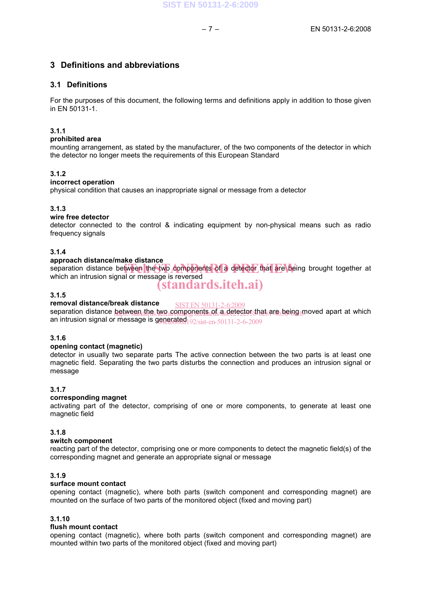### **3 Definitions and abbreviations**

#### **3.1 Definitions**

For the purposes of this document, the following terms and definitions apply in addition to those given in EN 50131-1.

#### **3.1.1**

#### **prohibited area**

mounting arrangement, as stated by the manufacturer, of the two components of the detector in which the detector no longer meets the requirements of this European Standard

#### **3.1.2**

#### **incorrect operation**

physical condition that causes an inappropriate signal or message from a detector

#### **3.1.3**

#### **wire free detector**

detector connected to the control & indicating equipment by non-physical means such as radio frequency signals

#### **3.1.4**

#### **approach distance/make distance**

approach distance between the two components of a detector that are being brought together at separation distance between the two components of a detector that are being brought together at which an intrusion signal or message is reversed

### (standards.iteh.ai)

#### **3.1.5**

#### **removal distance/break distance**  SIST EN 50131-2-6:2009

separation distance **hetween the two components of a detecto**r that are being moved apart at which an intrusion signal or message is generated p2/sist-en-50131-2-6-2009

#### **3.1.6**

#### **opening contact (magnetic)**

detector in usually two separate parts The active connection between the two parts is at least one magnetic field. Separating the two parts disturbs the connection and produces an intrusion signal or message

#### **3.1.7**

#### **corresponding magnet**

activating part of the detector, comprising of one or more components, to generate at least one magnetic field

#### **3.1.8**

#### **switch component**

reacting part of the detector, comprising one or more components to detect the magnetic field(s) of the corresponding magnet and generate an appropriate signal or message

#### **3.1.9**

#### **surface mount contact**

opening contact (magnetic), where both parts (switch component and corresponding magnet) are mounted on the surface of two parts of the monitored object (fixed and moving part)

#### **3.1.10**

#### **flush mount contact**

opening contact (magnetic), where both parts (switch component and corresponding magnet) are mounted within two parts of the monitored object (fixed and moving part)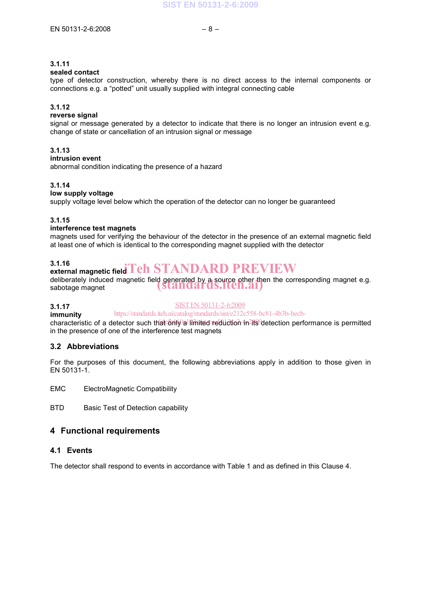#### **3.1.11**

#### **sealed contact**

type of detector construction, whereby there is no direct access to the internal components or connections e.g. a "potted" unit usually supplied with integral connecting cable

#### **3.1.12**

#### **reverse signal**

signal or message generated by a detector to indicate that there is no longer an intrusion event e.g. change of state or cancellation of an intrusion signal or message

#### **3.1.13**

**intrusion event** 

abnormal condition indicating the presence of a hazard

#### **3.1.14**

#### **low supply voltage**

supply voltage level below which the operation of the detector can no longer be guaranteed

#### **3.1.15**

#### **interference test magnets**

magnets used for verifying the behaviour of the detector in the presence of an external magnetic field at least one of which is identical to the corresponding magnet supplied with the detector

#### **3.1.16**

# 3.1.16<br>external magnetic field T<sup>eh</sup> STANDARD PREVIEW

deliberately induced magnetic field generated by a source other then the corresponding magnet e.g. sabotage magnet (standards.iteh.ai)

**3.1.17** 

SIST EN 50131-2-6:2009

**immunity**  https://standards.iteh.ai/catalog/standards/sist/e212c558-bc81-4b3b-becb-

characteristic of a detector such that only a limited reduction in lits detection performance is permitted in the presence of one of the interference test magnets

#### **3.2 Abbreviations**

For the purposes of this document, the following abbreviations apply in addition to those given in EN 50131-1.

EMC ElectroMagnetic Compatibility

BTD Basic Test of Detection capability

#### **4 Functional requirements**

#### **4.1 Events**

The detector shall respond to events in accordance with Table 1 and as defined in this Clause 4.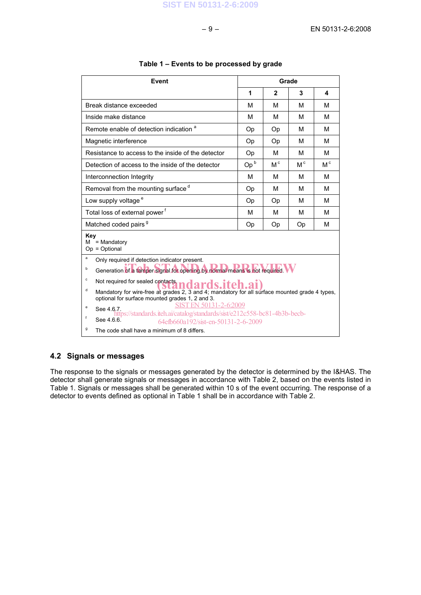| Event                                                                                                                                                                            |                     | Grade        |                |           |  |
|----------------------------------------------------------------------------------------------------------------------------------------------------------------------------------|---------------------|--------------|----------------|-----------|--|
|                                                                                                                                                                                  | 1                   | $\mathbf{2}$ | 3              | 4         |  |
| Break distance exceeded                                                                                                                                                          |                     | м            | М              | м         |  |
| Inside make distance                                                                                                                                                             | м                   | м            | м              | м         |  |
| Remote enable of detection indication <sup>a</sup>                                                                                                                               | Op                  | Op           | М              | м         |  |
| Magnetic interference                                                                                                                                                            |                     | Op           | М              | м         |  |
| Resistance to access to the inside of the detector                                                                                                                               | Op                  | м            | м              | м         |  |
| Detection of access to the inside of the detector                                                                                                                                | Op <sup>b</sup>     | $Mc$         | M <sup>c</sup> | $M^{\,c}$ |  |
| Interconnection Integrity                                                                                                                                                        | М                   | М            | М              | М         |  |
| Removal from the mounting surface d                                                                                                                                              | Op                  | м            | м              | м         |  |
| Low supply voltage <sup>e</sup>                                                                                                                                                  | Op                  | Op           | М              | м         |  |
| Total loss of external power <sup>f</sup>                                                                                                                                        | м                   | М            | М              | м         |  |
| Matched coded pairs <sup>9</sup>                                                                                                                                                 | м<br>Op<br>Op<br>Op |              |                |           |  |
| Key<br>$M =$ Mandatory<br>$Op = Optional$                                                                                                                                        |                     |              |                |           |  |
| a<br>Only required if detection indicator present.<br>b<br>Generation of a tamper signal for opening by normal means is not required.                                            |                     |              |                |           |  |
| c<br>Not required for sealed contacts ndards.itch.ai                                                                                                                             |                     |              |                |           |  |
| d<br>Mandatory for wire-free at grades 2, 3 and 4; mandatory for all surface mounted grade 4 types,<br>optional for surface mounted grades 1, 2 and 3.                           |                     |              |                |           |  |
| SIST EN 50131-2-6:2009<br>е<br>See 4.6.7.<br>https://standards.iteh.ai/catalog/standards/sist/e212c558-bc81-4b3b-becb-<br>f<br>See 4.6.6.<br>64efb660a192/sist-en-50131-2-6-2009 |                     |              |                |           |  |
| g<br>The code shall have a minimum of 8 differs.                                                                                                                                 |                     |              |                |           |  |

#### **Table 1 – Events to be processed by grade**

#### **4.2 Signals or messages**

The response to the signals or messages generated by the detector is determined by the I&HAS. The detector shall generate signals or messages in accordance with Table 2, based on the events listed in Table 1. Signals or messages shall be generated within 10 s of the event occurring. The response of a detector to events defined as optional in Table 1 shall be in accordance with Table 2.